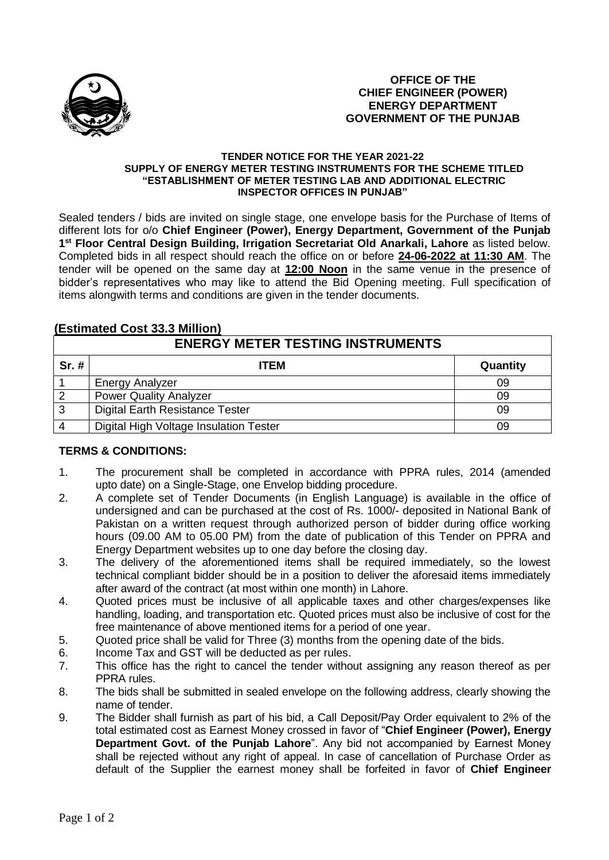

## **TENDER NOTICE FOR THE YEAR 2021-22 SUPPLY OF ENERGY METER TESTING INSTRUMENTS FOR THE SCHEME TITLED "ESTABLISHMENT OF METER TESTING LAB AND ADDITIONAL ELECTRIC INSPECTOR OFFICES IN PUNJAB"**

Sealed tenders / bids are invited on single stage, one envelope basis for the Purchase of Items of different lots for o/o **Chief Engineer (Power), Energy Department, Government of the Punjab 1 st Floor Central Design Building, Irrigation Secretariat Old Anarkali, Lahore** as listed below. Completed bids in all respect should reach the office on or before **24-06-2022 at 11:30 AM**. The tender will be opened on the same day at **12:00 Noon** in the same venue in the presence of bidder's representatives who may like to attend the Bid Opening meeting. Full specification of items alongwith terms and conditions are given in the tender documents.

## **(Estimated Cost 33.3 Million)**

| <b>ENERGY METER TESTING INSTRUMENTS</b> |                                        |          |
|-----------------------------------------|----------------------------------------|----------|
| $Sr.$ #                                 | <b>ITEM</b>                            | Quantity |
|                                         | <b>Energy Analyzer</b>                 | 09       |
| $\overline{2}$                          | <b>Power Quality Analyzer</b>          | 09       |
| 3                                       | <b>Digital Earth Resistance Tester</b> | 09       |
|                                         | Digital High Voltage Insulation Tester | 09       |

## **TERMS & CONDITIONS:**

- 1. The procurement shall be completed in accordance with PPRA rules, 2014 (amended upto date) on a Single-Stage, one Envelop bidding procedure.
- 2. A complete set of Tender Documents (in English Language) is available in the office of undersigned and can be purchased at the cost of Rs. 1000/- deposited in National Bank of Pakistan on a written request through authorized person of bidder during office working hours (09.00 AM to 05.00 PM) from the date of publication of this Tender on PPRA and Energy Department websites up to one day before the closing day.
- 3. The delivery of the aforementioned items shall be required immediately, so the lowest technical compliant bidder should be in a position to deliver the aforesaid items immediately after award of the contract (at most within one month) in Lahore.
- 4. Quoted prices must be inclusive of all applicable taxes and other charges/expenses like handling, loading, and transportation etc. Quoted prices must also be inclusive of cost for the free maintenance of above mentioned items for a period of one year.
- 5. Quoted price shall be valid for Three (3) months from the opening date of the bids.
- 6. Income Tax and GST will be deducted as per rules.
- 7. This office has the right to cancel the tender without assigning any reason thereof as per PPRA rules.
- 8. The bids shall be submitted in sealed envelope on the following address, clearly showing the name of tender.
- 9. The Bidder shall furnish as part of his bid, a Call Deposit/Pay Order equivalent to 2% of the total estimated cost as Earnest Money crossed in favor of "**Chief Engineer (Power), Energy Department Govt. of the Punjab Lahore**". Any bid not accompanied by Earnest Money shall be rejected without any right of appeal. In case of cancellation of Purchase Order as default of the Supplier the earnest money shall be forfeited in favor of **Chief Engineer**